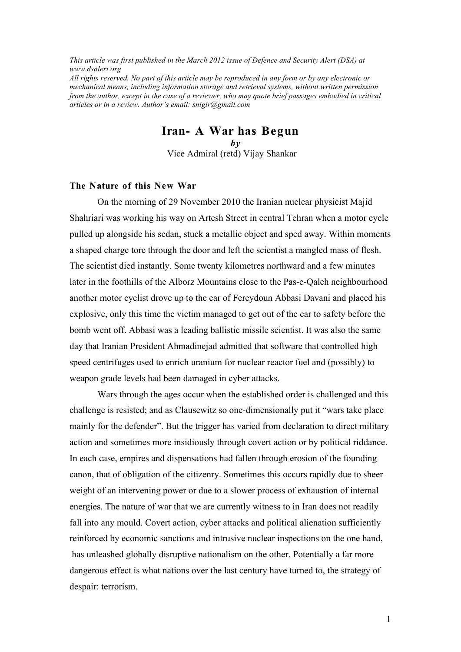*This article was first published in the March 2012 issue of Defence and Security Alert (DSA) at www.dsalert.org All rights reserved. No part of this article may be reproduced in any form or by any electronic or mechanical means, including information storage and retrieval systems, without written permission from the author, except in the case of a reviewer, who may quote brief passages embodied in critical articles or in a review. Author's email: snigir@gmail.com*

**Iran- A War has Begun**

 *by* Vice Admiral (retd) Vijay Shankar

# **The Nature of this New War**

On the morning of 29 November 2010 the Iranian nuclear physicist Majid Shahriari was working his way on Artesh Street in central Tehran when a motor cycle pulled up alongside his sedan, stuck a metallic object and sped away. Within moments a shaped charge tore through the door and left the scientist a mangled mass of flesh. The scientist died instantly. Some twenty kilometres northward and a few minutes later in the foothills of the Alborz Mountains close to the Pas-e-Qaleh neighbourhood another motor cyclist drove up to the car of Fereydoun Abbasi Davani and placed his explosive, only this time the victim managed to get out of the car to safety before the bomb went off. Abbasi was a leading ballistic missile scientist. It was also the same day that Iranian President Ahmadinejad admitted that software that controlled high speed centrifuges used to enrich uranium for nuclear reactor fuel and (possibly) to weapon grade levels had been damaged in cyber attacks.

Wars through the ages occur when the established order is challenged and this challenge is resisted; and as Clausewitz so one-dimensionally put it "wars take place mainly for the defender". But the trigger has varied from declaration to direct military action and sometimes more insidiously through covert action or by political riddance. In each case, empires and dispensations had fallen through erosion of the founding canon, that of obligation of the citizenry. Sometimes this occurs rapidly due to sheer weight of an intervening power or due to a slower process of exhaustion of internal energies. The nature of war that we are currently witness to in Iran does not readily fall into any mould. Covert action, cyber attacks and political alienation sufficiently reinforced by economic sanctions and intrusive nuclear inspections on the one hand, has unleashed globally disruptive nationalism on the other. Potentially a far more dangerous effect is what nations over the last century have turned to, the strategy of despair: terrorism.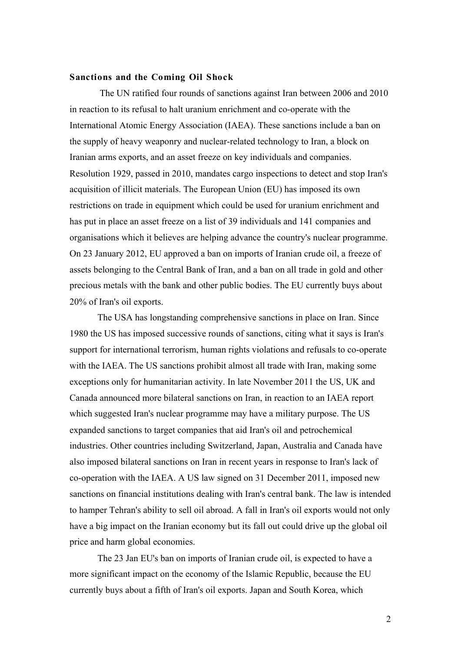### **Sanctions and the Coming Oil Shock**

The UN ratified four rounds of sanctions against Iran between 2006 and 2010 in reaction to its refusal to halt uranium enrichment and co-operate with the International Atomic Energy Association (IAEA). These sanctions include a ban on the supply of heavy weaponry and nuclear-related technology to Iran, a block on Iranian arms exports, and an asset freeze on key individuals and companies. Resolution 1929, passed in 2010, mandates cargo inspections to detect and stop Iran's acquisition of illicit materials. The European Union (EU) has imposed its own restrictions on trade in equipment which could be used for uranium enrichment and has put in place an asset freeze on a list of 39 individuals and 141 companies and organisations which it believes are helping advance the country's nuclear programme. On 23 January 2012, EU approved a ban on imports of Iranian crude oil, a freeze of assets belonging to the Central Bank of Iran, and a ban on all trade in gold and other precious metals with the bank and other public bodies. The EU currently buys about 20% of Iran's oil exports.

The USA has longstanding comprehensive sanctions in place on Iran. Since 1980 the US has imposed successive rounds of sanctions, citing what it says is Iran's support for international terrorism, human rights violations and refusals to co-operate with the IAEA. The US sanctions prohibit almost all trade with Iran, making some exceptions only for humanitarian activity. In late November 2011 the US, UK and Canada announced more bilateral sanctions on Iran, in reaction to an IAEA report which suggested Iran's nuclear programme may have a military purpose. The US expanded sanctions to target companies that aid Iran's oil and petrochemical industries. Other countries including Switzerland, Japan, Australia and Canada have also imposed bilateral sanctions on Iran in recent years in response to Iran's lack of co-operation with the IAEA. A US law signed on 31 December 2011, imposed new sanctions on financial institutions dealing with Iran's central bank. The law is intended to hamper Tehran's ability to sell oil abroad. A fall in Iran's oil exports would not only have a big impact on the Iranian economy but its fall out could drive up the global oil price and harm global economies.

The 23 Jan EU's ban on imports of Iranian crude oil, is expected to have a more significant impact on the economy of the Islamic Republic, because the EU currently buys about a fifth of Iran's oil exports. Japan and South Korea, which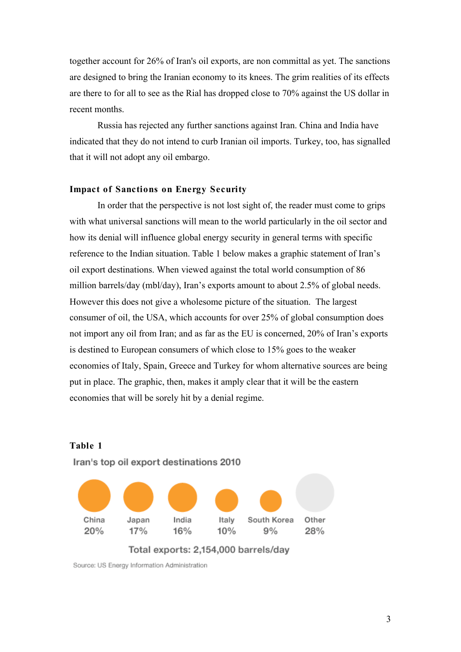together account for 26% of Iran's oil exports, are non committal as yet. The sanctions are designed to bring the Iranian economy to its knees. The grim realities of its effects are there to for all to see as the Rial has dropped close to 70% against the US dollar in recent months.

Russia has rejected any further sanctions against Iran. China and India have indicated that they do not intend to curb Iranian oil imports. Turkey, too, has signalled that it will not adopt any oil embargo.

# **Impact of Sanctions on Energy Security**

In order that the perspective is not lost sight of, the reader must come to grips with what universal sanctions will mean to the world particularly in the oil sector and how its denial will influence global energy security in general terms with specific reference to the Indian situation. Table 1 below makes a graphic statement of Iran's oil export destinations. When viewed against the total world consumption of 86 million barrels/day (mbl/day), Iran's exports amount to about 2.5% of global needs. However this does not give a wholesome picture of the situation. The largest consumer of oil, the USA, which accounts for over 25% of global consumption does not import any oil from Iran; and as far as the EU is concerned, 20% of Iran's exports is destined to European consumers of which close to 15% goes to the weaker economies of Italy, Spain, Greece and Turkey for whom alternative sources are being put in place. The graphic, then, makes it amply clear that it will be the eastern economies that will be sorely hit by a denial regime.



Iran's top oil export destinations 2010

**Table 1**

Source: US Energy Information Administration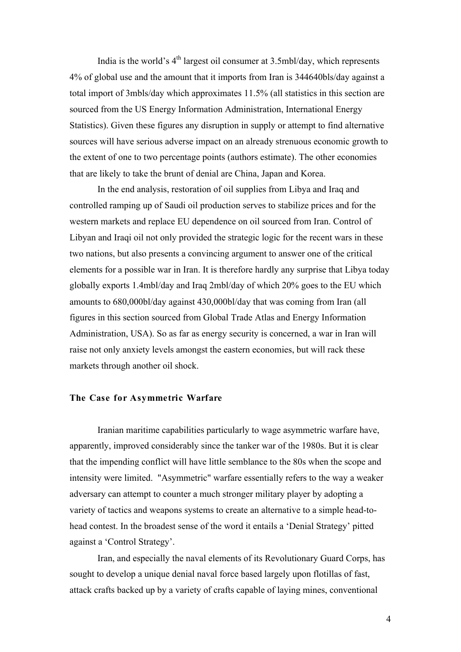India is the world's  $4<sup>th</sup>$  largest oil consumer at 3.5mbl/day, which represents 4% of global use and the amount that it imports from Iran is 344640bls/day against a total import of 3mbls/day which approximates 11.5% (all statistics in this section are sourced from the US Energy Information Administration, International Energy Statistics). Given these figures any disruption in supply or attempt to find alternative sources will have serious adverse impact on an already strenuous economic growth to the extent of one to two percentage points (authors estimate). The other economies that are likely to take the brunt of denial are China, Japan and Korea.

In the end analysis, restoration of oil supplies from Libya and Iraq and controlled ramping up of Saudi oil production serves to stabilize prices and for the western markets and replace EU dependence on oil sourced from Iran. Control of Libyan and Iraqi oil not only provided the strategic logic for the recent wars in these two nations, but also presents a convincing argument to answer one of the critical elements for a possible war in Iran. It is therefore hardly any surprise that Libya today globally exports 1.4mbl/day and Iraq 2mbl/day of which 20% goes to the EU which amounts to 680,000bl/day against 430,000bl/day that was coming from Iran (all figures in this section sourced from Global Trade Atlas and Energy Information Administration, USA). So as far as energy security is concerned, a war in Iran will raise not only anxiety levels amongst the eastern economies, but will rack these markets through another oil shock.

## **The Case for Asymmetric Warfare**

Iranian maritime capabilities particularly to wage asymmetric warfare have, apparently, improved considerably since the tanker war of the 1980s. But it is clear that the impending conflict will have little semblance to the 80s when the scope and intensity were limited. "Asymmetric" warfare essentially refers to the way a weaker adversary can attempt to counter a much stronger military player by adopting a variety of tactics and weapons systems to create an alternative to a simple head-tohead contest. In the broadest sense of the word it entails a 'Denial Strategy' pitted against a 'Control Strategy'.

Iran, and especially the naval elements of its Revolutionary Guard Corps, has sought to develop a unique denial naval force based largely upon flotillas of fast, attack crafts backed up by a variety of crafts capable of laying mines, conventional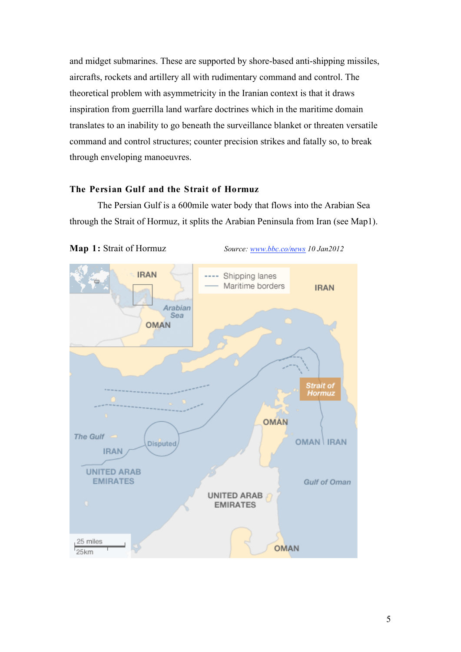and midget submarines. These are supported by shore-based anti-shipping missiles, aircrafts, rockets and artillery all with rudimentary command and control. The theoretical problem with asymmetricity in the Iranian context is that it draws inspiration from guerrilla land warfare doctrines which in the maritime domain translates to an inability to go beneath the surveillance blanket or threaten versatile command and control structures; counter precision strikes and fatally so, to break through enveloping manoeuvres.

# **The Persian Gulf and the Strait of Hormuz**

The Persian Gulf is a 600mile water body that flows into the Arabian Sea through the Strait of Hormuz, it splits the Arabian Peninsula from Iran (see Map1).



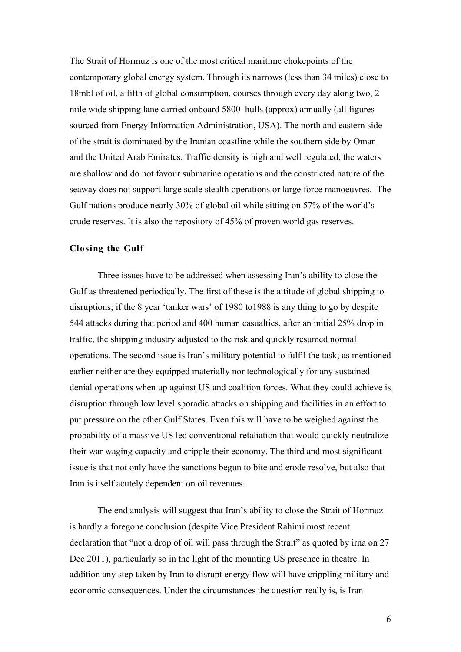The Strait of Hormuz is one of the most critical maritime chokepoints of the contemporary global energy system. Through its narrows (less than 34 miles) close to 18mbl of oil, a fifth of global consumption, courses through every day along two, 2 mile wide shipping lane carried onboard 5800 hulls (approx) annually (all figures sourced from Energy Information Administration, USA). The north and eastern side of the strait is dominated by the Iranian coastline while the southern side by Oman and the United Arab Emirates. Traffic density is high and well regulated, the waters are shallow and do not favour submarine operations and the constricted nature of the seaway does not support large scale stealth operations or large force manoeuvres. The Gulf nations produce nearly 30% of global oil while sitting on 57% of the world's crude reserves. It is also the repository of 45% of proven world gas reserves.

# **Closing the Gulf**

Three issues have to be addressed when assessing Iran's ability to close the Gulf as threatened periodically. The first of these is the attitude of global shipping to disruptions; if the 8 year 'tanker wars' of 1980 to1988 is any thing to go by despite 544 attacks during that period and 400 human casualties, after an initial 25% drop in traffic, the shipping industry adjusted to the risk and quickly resumed normal operations. The second issue is Iran's military potential to fulfil the task; as mentioned earlier neither are they equipped materially nor technologically for any sustained denial operations when up against US and coalition forces. What they could achieve is disruption through low level sporadic attacks on shipping and facilities in an effort to put pressure on the other Gulf States. Even this will have to be weighed against the probability of a massive US led conventional retaliation that would quickly neutralize their war waging capacity and cripple their economy. The third and most significant issue is that not only have the sanctions begun to bite and erode resolve, but also that Iran is itself acutely dependent on oil revenues.

The end analysis will suggest that Iran's ability to close the Strait of Hormuz is hardly a foregone conclusion (despite Vice President Rahimi most recent declaration that "not a drop of oil will pass through the Strait" as quoted by irna on 27 Dec 2011), particularly so in the light of the mounting US presence in theatre. In addition any step taken by Iran to disrupt energy flow will have crippling military and economic consequences. Under the circumstances the question really is, is Iran

6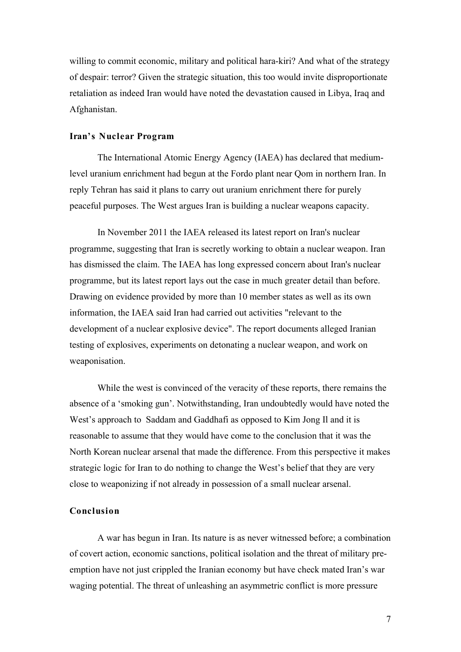willing to commit economic, military and political hara-kiri? And what of the strategy of despair: terror? Given the strategic situation, this too would invite disproportionate retaliation as indeed Iran would have noted the devastation caused in Libya, Iraq and Afghanistan.

### **Iran's Nuclear Program**

The International Atomic Energy Agency (IAEA) has declared that mediumlevel uranium enrichment had begun at the Fordo plant near Qom in northern Iran. In reply Tehran has said it plans to carry out uranium enrichment there for purely peaceful purposes. The West argues Iran is building a nuclear weapons capacity.

In November 2011 the IAEA released its latest report on Iran's nuclear programme, suggesting that Iran is secretly working to obtain a nuclear weapon. Iran has dismissed the claim. The IAEA has long expressed concern about Iran's nuclear programme, but its latest report lays out the case in much greater detail than before. Drawing on evidence provided by more than 10 member states as well as its own information, the IAEA said Iran had carried out activities "relevant to the development of a nuclear explosive device". The report documents alleged Iranian testing of explosives, experiments on detonating a nuclear weapon, and work on weaponisation.

While the west is convinced of the veracity of these reports, there remains the absence of a 'smoking gun'. Notwithstanding, Iran undoubtedly would have noted the West's approach to Saddam and Gaddhafi as opposed to Kim Jong Il and it is reasonable to assume that they would have come to the conclusion that it was the North Korean nuclear arsenal that made the difference. From this perspective it makes strategic logic for Iran to do nothing to change the West's belief that they are very close to weaponizing if not already in possession of a small nuclear arsenal.

### **Conclusion**

A war has begun in Iran. Its nature is as never witnessed before; a combination of covert action, economic sanctions, political isolation and the threat of military preemption have not just crippled the Iranian economy but have check mated Iran's war waging potential. The threat of unleashing an asymmetric conflict is more pressure